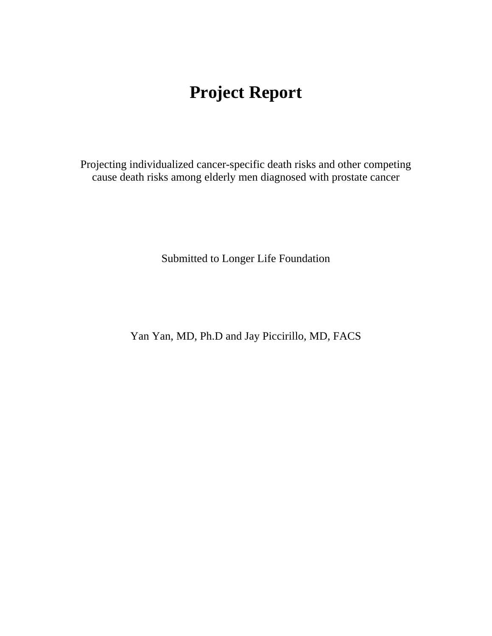# **Project Report**

Projecting individualized cancer-specific death risks and other competing cause death risks among elderly men diagnosed with prostate cancer

Submitted to Longer Life Foundation

Yan Yan, MD, Ph.D and Jay Piccirillo, MD, FACS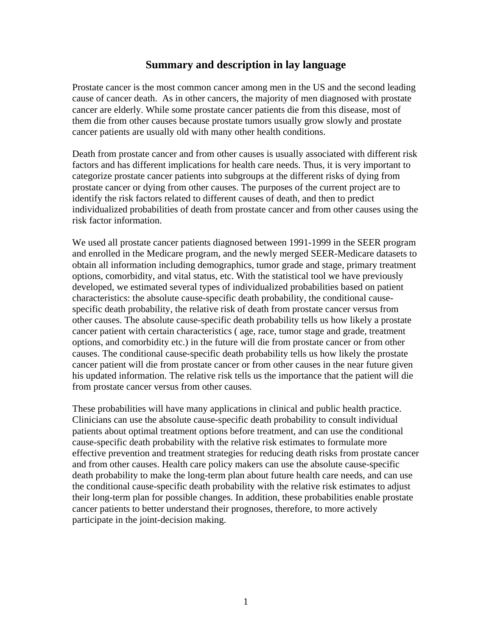## **Summary and description in lay language**

Prostate cancer is the most common cancer among men in the US and the second leading cause of cancer death. As in other cancers, the majority of men diagnosed with prostate cancer are elderly. While some prostate cancer patients die from this disease, most of them die from other causes because prostate tumors usually grow slowly and prostate cancer patients are usually old with many other health conditions.

Death from prostate cancer and from other causes is usually associated with different risk factors and has different implications for health care needs. Thus, it is very important to categorize prostate cancer patients into subgroups at the different risks of dying from prostate cancer or dying from other causes. The purposes of the current project are to identify the risk factors related to different causes of death, and then to predict individualized probabilities of death from prostate cancer and from other causes using the risk factor information.

We used all prostate cancer patients diagnosed between 1991-1999 in the SEER program and enrolled in the Medicare program, and the newly merged SEER-Medicare datasets to obtain all information including demographics, tumor grade and stage, primary treatment options, comorbidity, and vital status, etc. With the statistical tool we have previously developed, we estimated several types of individualized probabilities based on patient characteristics: the absolute cause-specific death probability, the conditional causespecific death probability, the relative risk of death from prostate cancer versus from other causes. The absolute cause-specific death probability tells us how likely a prostate cancer patient with certain characteristics ( age, race, tumor stage and grade, treatment options, and comorbidity etc.) in the future will die from prostate cancer or from other causes. The conditional cause-specific death probability tells us how likely the prostate cancer patient will die from prostate cancer or from other causes in the near future given his updated information. The relative risk tells us the importance that the patient will die from prostate cancer versus from other causes.

These probabilities will have many applications in clinical and public health practice. Clinicians can use the absolute cause-specific death probability to consult individual patients about optimal treatment options before treatment, and can use the conditional cause-specific death probability with the relative risk estimates to formulate more effective prevention and treatment strategies for reducing death risks from prostate cancer and from other causes. Health care policy makers can use the absolute cause-specific death probability to make the long-term plan about future health care needs, and can use the conditional cause-specific death probability with the relative risk estimates to adjust their long-term plan for possible changes. In addition, these probabilities enable prostate cancer patients to better understand their prognoses, therefore, to more actively participate in the joint-decision making.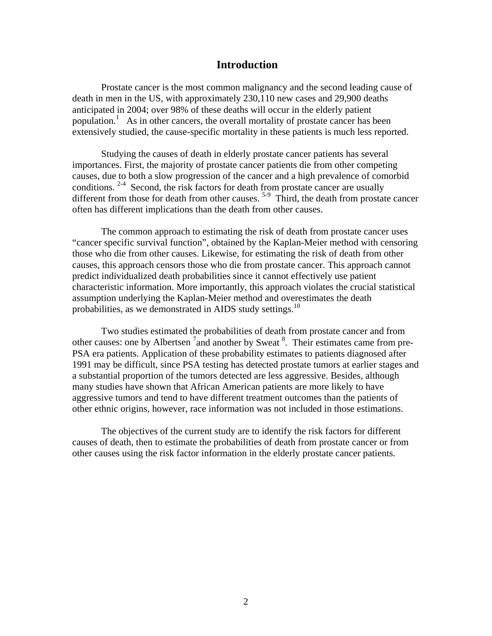#### **Introduction**

Prostate cancer is the most common malignancy and the second leading cause of death in men in the US, with approximately 230,110 new cases and 29,900 deaths anticipated in 2004; over 98% of these deaths will occur in the elderly patient population.<sup>1</sup> As in other cancers, the overall mortality of prostate cancer has been extensively studied, the cause-specific mortality in these patients is much less reported.

Studying the causes of death in elderly prostate cancer patients has several importances. First, the majority of prostate cancer patients die from other competing causes, due to both a slow progression of the cancer and a high prevalence of comorbid conditions. <sup>2-4</sup> Second, the risk factors for death from prostate cancer are usually different from those for death from other causes.<sup>5-9</sup> Third, the death from prostate cancer often has different implications than the death from other causes.

The common approach to estimating the risk of death from prostate cancer uses "cancer specific survival function", obtained by the Kaplan-Meier method with censoring those who die from other causes. Likewise, for estimating the risk of death from other causes, this approach censors those who die from prostate cancer. This approach cannot predict individualized death probabilities since it cannot effectively use patient characteristic information. More importantly, this approach violates the crucial statistical assumption underlying the Kaplan-Meier method and overestimates the death probabilities, as we demonstrated in AIDS study settings.<sup>10</sup>

Two studies estimated the probabilities of death from prostate cancer and from other causes: one by Albertsen  $7$  and another by Sweat  $8$ . Their estimates came from pre-PSA era patients. Application of these probability estimates to patients diagnosed after 1991 may be difficult, since PSA testing has detected prostate tumors at earlier stages and a substantial proportion of the tumors detected are less aggressive. Besides, although many studies have shown that African American patients are more likely to have aggressive tumors and tend to have different treatment outcomes than the patients of other ethnic origins, however, race information was not included in those estimations.

The objectives of the current study are to identify the risk factors for different causes of death, then to estimate the probabilities of death from prostate cancer or from other causes using the risk factor information in the elderly prostate cancer patients.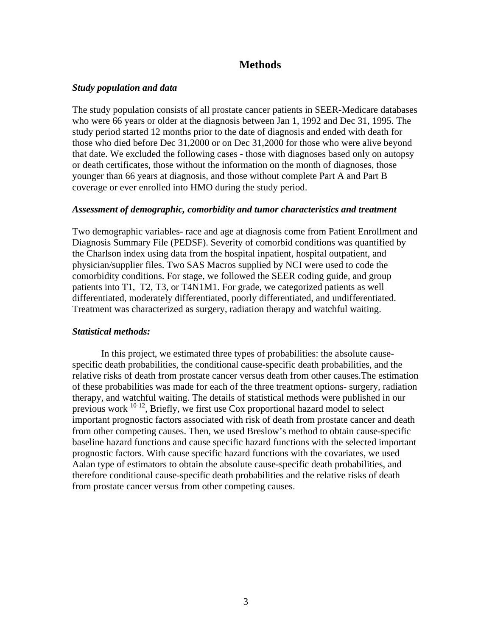## **Methods**

#### *Study population and data*

The study population consists of all prostate cancer patients in SEER-Medicare databases who were 66 years or older at the diagnosis between Jan 1, 1992 and Dec 31, 1995. The study period started 12 months prior to the date of diagnosis and ended with death for those who died before Dec 31,2000 or on Dec 31,2000 for those who were alive beyond that date. We excluded the following cases - those with diagnoses based only on autopsy or death certificates, those without the information on the month of diagnoses, those younger than 66 years at diagnosis, and those without complete Part A and Part B coverage or ever enrolled into HMO during the study period.

#### *Assessment of demographic, comorbidity and tumor characteristics and treatment*

Two demographic variables- race and age at diagnosis come from Patient Enrollment and Diagnosis Summary File (PEDSF). Severity of comorbid conditions was quantified by the Charlson index using data from the hospital inpatient, hospital outpatient, and physician/supplier files. Two SAS Macros supplied by NCI were used to code the comorbidity conditions. For stage, we followed the SEER coding guide, and group patients into T1, T2, T3, or T4N1M1. For grade, we categorized patients as well differentiated, moderately differentiated, poorly differentiated, and undifferentiated. Treatment was characterized as surgery, radiation therapy and watchful waiting.

#### *Statistical methods:*

In this project, we estimated three types of probabilities: the absolute causespecific death probabilities, the conditional cause-specific death probabilities, and the relative risks of death from prostate cancer versus death from other causes.The estimation of these probabilities was made for each of the three treatment options- surgery, radiation therapy, and watchful waiting. The details of statistical methods were published in our previous work 10-12, Briefly, we first use Cox proportional hazard model to select important prognostic factors associated with risk of death from prostate cancer and death from other competing causes. Then, we used Breslow's method to obtain cause-specific baseline hazard functions and cause specific hazard functions with the selected important prognostic factors. With cause specific hazard functions with the covariates, we used Aalan type of estimators to obtain the absolute cause-specific death probabilities, and therefore conditional cause-specific death probabilities and the relative risks of death from prostate cancer versus from other competing causes.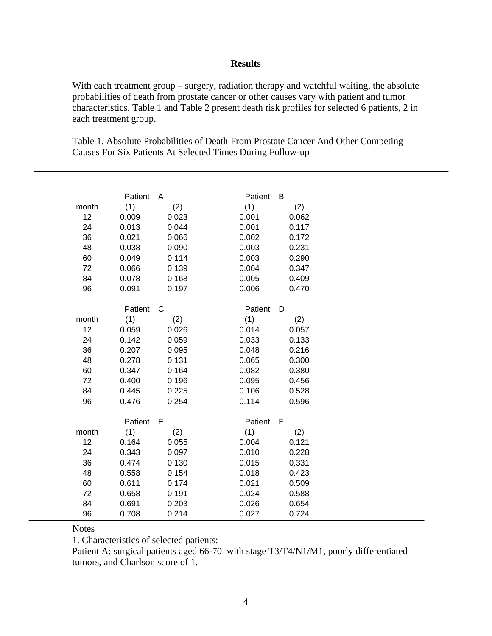#### **Results**

With each treatment group – surgery, radiation therapy and watchful waiting, the absolute probabilities of death from prostate cancer or other causes vary with patient and tumor characteristics. Table 1 and Table 2 present death risk profiles for selected 6 patients, 2 in each treatment group.

Table 1. Absolute Probabilities of Death From Prostate Cancer And Other Competing Causes For Six Patients At Selected Times During Follow-up

|       | Patient      | A     | Patient | B     |  |
|-------|--------------|-------|---------|-------|--|
| month | (1)          | (2)   | (1)     | (2)   |  |
| 12    | 0.009        | 0.023 | 0.001   | 0.062 |  |
| 24    | 0.013        | 0.044 | 0.001   | 0.117 |  |
| 36    | 0.021        | 0.066 | 0.002   | 0.172 |  |
| 48    | 0.038        | 0.090 | 0.003   | 0.231 |  |
| 60    | 0.049        | 0.114 | 0.003   | 0.290 |  |
| 72    | 0.066        | 0.139 | 0.004   | 0.347 |  |
| 84    | 0.078        | 0.168 | 0.005   | 0.409 |  |
| 96    | 0.091        | 0.197 | 0.006   | 0.470 |  |
|       | Patient      | C     | Patient | D     |  |
| month | (1)          | (2)   | (1)     | (2)   |  |
| 12    | 0.059        | 0.026 | 0.014   | 0.057 |  |
| 24    | 0.142        | 0.059 | 0.033   | 0.133 |  |
| 36    | 0.207        | 0.095 | 0.048   | 0.216 |  |
| 48    | 0.278        | 0.131 | 0.065   | 0.300 |  |
| 60    | 0.347        | 0.164 | 0.082   | 0.380 |  |
| 72    | 0.400        | 0.196 | 0.095   | 0.456 |  |
| 84    | 0.445        | 0.225 | 0.106   | 0.528 |  |
| 96    | 0.476        | 0.254 | 0.114   | 0.596 |  |
|       | Patient<br>Е |       | Patient | F     |  |
| month | (1)          | (2)   | (1)     | (2)   |  |
| 12    | 0.164        | 0.055 | 0.004   | 0.121 |  |
| 24    | 0.343        | 0.097 | 0.010   | 0.228 |  |
| 36    | 0.474        | 0.130 | 0.015   | 0.331 |  |
| 48    | 0.558        | 0.154 | 0.018   | 0.423 |  |
| 60    | 0.611        | 0.174 | 0.021   | 0.509 |  |
| 72    | 0.658        | 0.191 | 0.024   | 0.588 |  |
| 84    | 0.691        | 0.203 | 0.026   | 0.654 |  |
| 96    | 0.708        | 0.214 | 0.027   | 0.724 |  |

#### **Notes**

1. Characteristics of selected patients:

Patient A: surgical patients aged 66-70 with stage T3/T4/N1/M1, poorly differentiated tumors, and Charlson score of 1.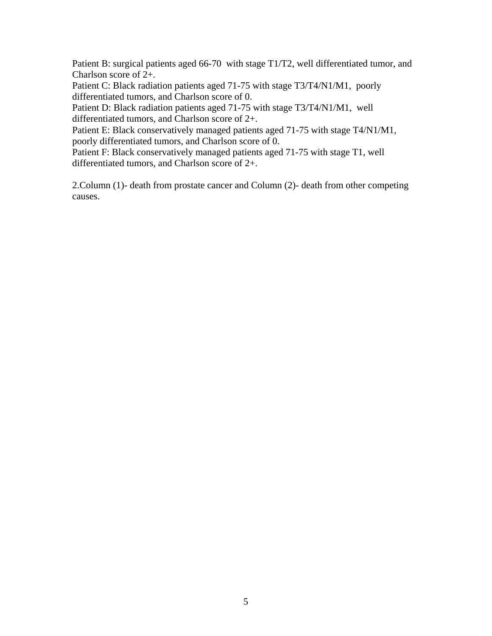Patient B: surgical patients aged 66-70 with stage T1/T2, well differentiated tumor, and Charlson score of 2+.

Patient C: Black radiation patients aged 71-75 with stage T3/T4/N1/M1, poorly differentiated tumors, and Charlson score of 0.

Patient D: Black radiation patients aged 71-75 with stage T3/T4/N1/M1, well differentiated tumors, and Charlson score of 2+.

Patient E: Black conservatively managed patients aged 71-75 with stage T4/N1/M1, poorly differentiated tumors, and Charlson score of 0.

Patient F: Black conservatively managed patients aged 71-75 with stage T1, well differentiated tumors, and Charlson score of 2+.

2.Column (1)- death from prostate cancer and Column (2)- death from other competing causes.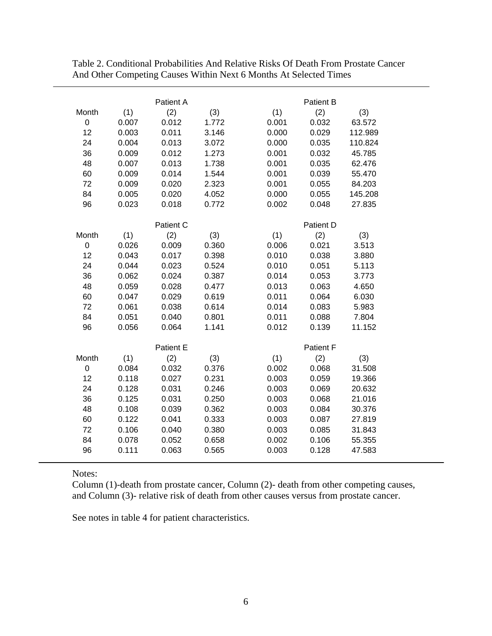|                |       | Patient A |       |       | <b>Patient B</b> |         |  |  |
|----------------|-------|-----------|-------|-------|------------------|---------|--|--|
| Month          | (1)   | (2)       | (3)   | (1)   | (2)              | (3)     |  |  |
| 0              | 0.007 | 0.012     | 1.772 | 0.001 | 0.032            | 63.572  |  |  |
| 12             | 0.003 | 0.011     | 3.146 | 0.000 | 0.029            | 112.989 |  |  |
| 24             | 0.004 | 0.013     | 3.072 | 0.000 | 0.035            | 110.824 |  |  |
| 36             | 0.009 | 0.012     | 1.273 | 0.001 | 0.032            | 45.785  |  |  |
| 48             | 0.007 | 0.013     | 1.738 | 0.001 | 0.035            | 62.476  |  |  |
| 60             | 0.009 | 0.014     | 1.544 | 0.001 | 0.039            | 55.470  |  |  |
| 72             | 0.009 | 0.020     | 2.323 | 0.001 | 0.055            | 84.203  |  |  |
| 84             | 0.005 | 0.020     | 4.052 | 0.000 | 0.055            | 145.208 |  |  |
| 96             | 0.023 | 0.018     | 0.772 | 0.002 | 0.048            | 27.835  |  |  |
|                |       | Patient C |       |       | Patient D        |         |  |  |
| Month          | (1)   | (2)       | (3)   | (1)   | (2)              | (3)     |  |  |
| $\overline{0}$ | 0.026 | 0.009     | 0.360 | 0.006 | 0.021            | 3.513   |  |  |
| 12             | 0.043 | 0.017     | 0.398 | 0.010 | 0.038            | 3.880   |  |  |
| 24             | 0.044 | 0.023     | 0.524 | 0.010 | 0.051            | 5.113   |  |  |
| 36             | 0.062 | 0.024     | 0.387 | 0.014 | 0.053            | 3.773   |  |  |
| 48             | 0.059 | 0.028     | 0.477 | 0.013 | 0.063            | 4.650   |  |  |
| 60             | 0.047 | 0.029     | 0.619 | 0.011 | 0.064            | 6.030   |  |  |
| 72             | 0.061 | 0.038     | 0.614 | 0.014 | 0.083            | 5.983   |  |  |
| 84             | 0.051 | 0.040     | 0.801 | 0.011 | 0.088            | 7.804   |  |  |
| 96             | 0.056 | 0.064     | 1.141 | 0.012 | 0.139            | 11.152  |  |  |
|                |       | Patient E |       |       | Patient F        |         |  |  |
| Month          | (1)   | (2)       | (3)   | (1)   | (2)              | (3)     |  |  |
| 0              | 0.084 | 0.032     | 0.376 | 0.002 | 0.068            | 31.508  |  |  |
| 12             | 0.118 | 0.027     | 0.231 | 0.003 | 0.059            | 19.366  |  |  |
| 24             | 0.128 | 0.031     | 0.246 | 0.003 | 0.069            | 20.632  |  |  |
| 36             | 0.125 | 0.031     | 0.250 | 0.003 | 0.068            | 21.016  |  |  |
| 48             | 0.108 | 0.039     | 0.362 | 0.003 | 0.084            | 30.376  |  |  |
| 60             | 0.122 | 0.041     | 0.333 | 0.003 | 0.087            | 27.819  |  |  |
| 72             | 0.106 | 0.040     | 0.380 | 0.003 | 0.085            | 31.843  |  |  |
| 84             | 0.078 | 0.052     | 0.658 | 0.002 | 0.106            | 55.355  |  |  |
| 96             | 0.111 | 0.063     | 0.565 | 0.003 | 0.128            | 47.583  |  |  |

Table 2. Conditional Probabilities And Relative Risks Of Death From Prostate Cancer And Other Competing Causes Within Next 6 Months At Selected Times

Notes:

Column (1)-death from prostate cancer, Column (2)- death from other competing causes, and Column (3)- relative risk of death from other causes versus from prostate cancer.

See notes in table 4 for patient characteristics.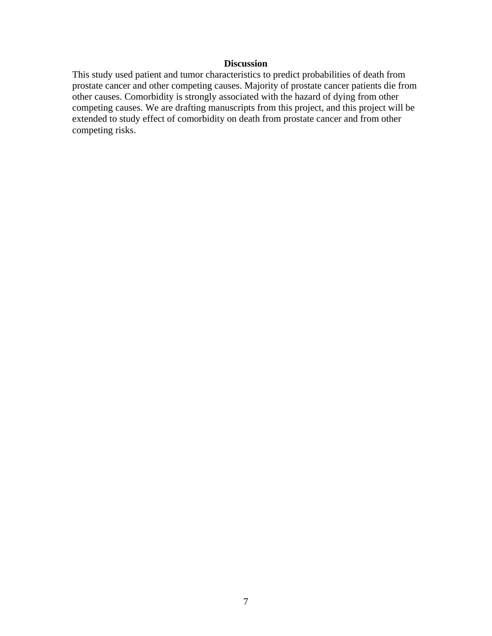### **Discussion**

This study used patient and tumor characteristics to predict probabilities of death from prostate cancer and other competing causes. Majority of prostate cancer patients die from other causes. Comorbidity is strongly associated with the hazard of dying from other competing causes. We are drafting manuscripts from this project, and this project will be extended to study effect of comorbidity on death from prostate cancer and from other competing risks.